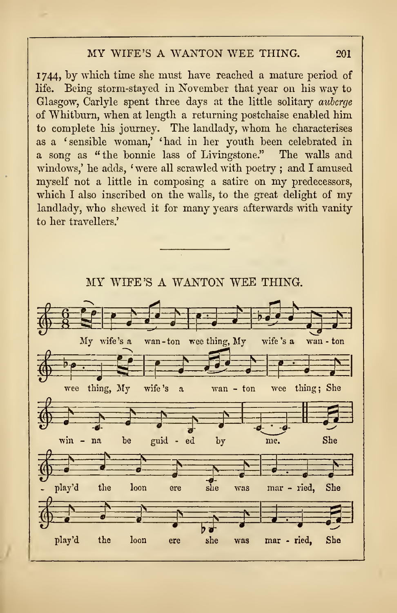## MY WIFE'S A WANTON WEE THING.